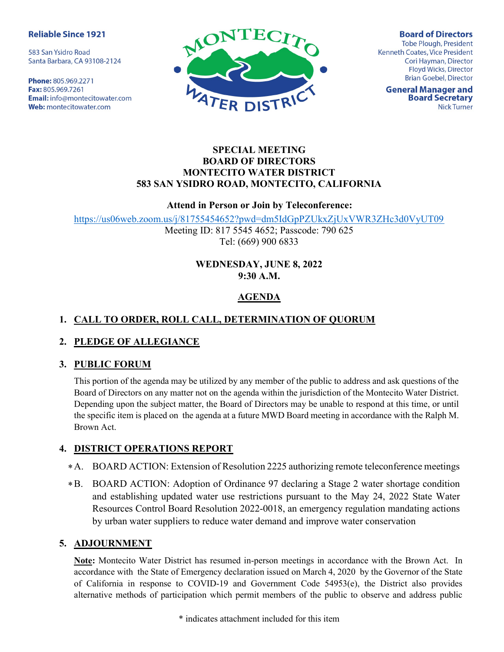#### **Reliable Since 1921**

583 San Ysidro Road Santa Barbara, CA 93108-2124

Phone: 805.969.2271 Fax: 805.969.7261 **Email:** info@montecitowater.com Web: montecitowater.com



**Board of Directors Tobe Plough, President** Kenneth Coates, Vice President Cori Hayman, Director Floyd Wicks, Director **Brian Goebel, Director** 

**General Manager and Board Secretary Nick Turner** 

### SPECIAL MEETING BOARD OF DIRECTORS MONTECITO WATER DISTRICT 583 SAN YSIDRO ROAD, MONTECITO, CALIFORNIA

#### Attend in Person or Join by Teleconference:

https://us06web.zoom.us/j/81755454652?pwd=dm5IdGpPZUkxZjUxVWR3ZHc3d0VyUT09

Meeting ID: 817 5545 4652; Passcode: 790 625 Tel: (669) 900 6833

## WEDNESDAY, JUNE 8, 2022 9:30 A.M.

# AGENDA

# 1. CALL TO ORDER, ROLL CALL, DETERMINATION OF QUORUM

## 2. PLEDGE OF ALLEGIANCE

## 3. PUBLIC FORUM

This portion of the agenda may be utilized by any member of the public to address and ask questions of the Board of Directors on any matter not on the agenda within the jurisdiction of the Montecito Water District. Depending upon the subject matter, the Board of Directors may be unable to respond at this time, or until the specific item is placed on the agenda at a future MWD Board meeting in accordance with the Ralph M. Brown Act.

## 4. DISTRICT OPERATIONS REPORT

- A. BOARD ACTION: Extension of Resolution 2225 authorizing remote teleconference meetings \*
- BOARD ACTION: Adoption of Ordinance 97 declaring a Stage 2 water shortage condition and establishing updated water use restrictions pursuant to the May 24, 2022 State Water Resources Control Board Resolution 2022-0018, an emergency regulation mandating actions by urban water suppliers to reduce water demand and improve water conservation  $*B.$

## 5. ADJOURNMENT

Note: Montecito Water District has resumed in-person meetings in accordance with the Brown Act. In accordance with the State of Emergency declaration issued on March 4, 2020 by the Governor of the State of California in response to COVID-19 and Government Code 54953(e), the District also provides alternative methods of participation which permit members of the public to observe and address public